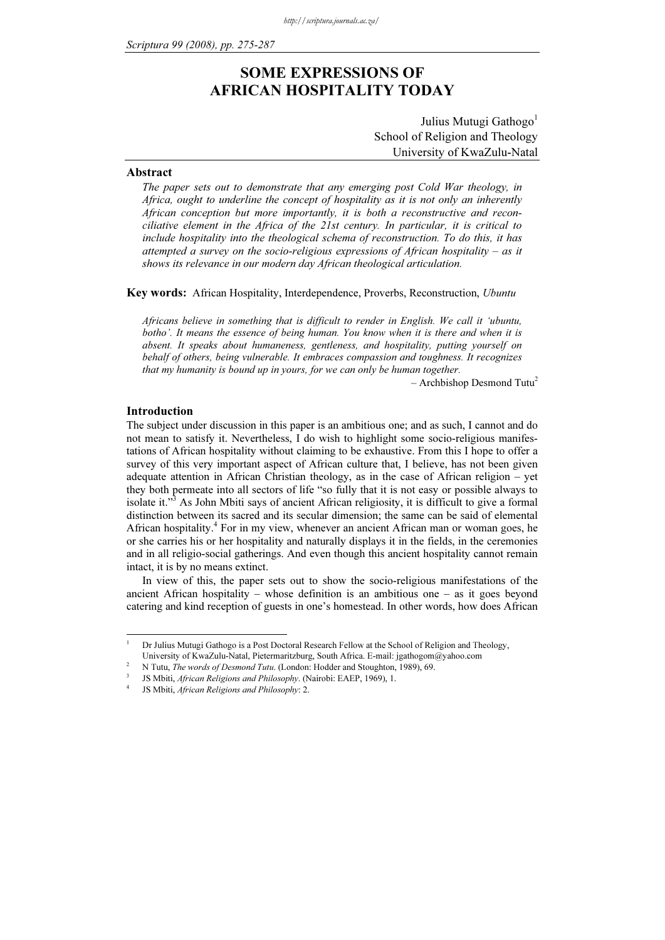# SOME EXPRESSIONS OF AFRICAN HOSPITALITY TODAY

Julius Mutugi Gathogo<sup>1</sup> School of Religion and Theology University of KwaZulu-Natal

# Abstract

The paper sets out to demonstrate that any emerging post Cold War theology, in Africa, ought to underline the concept of hospitality as it is not only an inherently African conception but more importantly, it is both a reconstructive and reconciliative element in the Africa of the 21st century. In particular, it is critical to include hospitality into the theological schema of reconstruction. To do this, it has attempted a survey on the socio-religious expressions of African hospitality – as it shows its relevance in our modern day African theological articulation.

Key words: African Hospitality, Interdependence, Proverbs, Reconstruction, Ubuntu

Africans believe in something that is difficult to render in English. We call it 'ubuntu, botho'. It means the essence of being human. You know when it is there and when it is absent. It speaks about humaneness, gentleness, and hospitality, putting yourself on behalf of others, being vulnerable. It embraces compassion and toughness. It recognizes that my humanity is bound up in yours, for we can only be human together.

 $-$  Archbishop Desmond Tutu<sup>2</sup>

# Introduction

The subject under discussion in this paper is an ambitious one; and as such, I cannot and do not mean to satisfy it. Nevertheless, I do wish to highlight some socio-religious manifestations of African hospitality without claiming to be exhaustive. From this I hope to offer a survey of this very important aspect of African culture that, I believe, has not been given adequate attention in African Christian theology, as in the case of African religion – yet they both permeate into all sectors of life "so fully that it is not easy or possible always to isolate it."<sup>3</sup> As John Mbiti says of ancient African religiosity, it is difficult to give a formal distinction between its sacred and its secular dimension; the same can be said of elemental African hospitality.<sup>4</sup> For in my view, whenever an ancient African man or woman goes, he or she carries his or her hospitality and naturally displays it in the fields, in the ceremonies and in all religio-social gatherings. And even though this ancient hospitality cannot remain intact, it is by no means extinct.

In view of this, the paper sets out to show the socio-religious manifestations of the ancient African hospitality – whose definition is an ambitious one – as it goes beyond catering and kind reception of guests in one's homestead. In other words, how does African

<sup>1</sup> Dr Julius Mutugi Gathogo is a Post Doctoral Research Fellow at the School of Religion and Theology, University of KwaZulu-Natal, Pietermaritzburg, South Africa. E-mail: jgathogom@yahoo.com

N Tutu, The words of Desmond Tutu. (London: Hodder and Stoughton, 1989), 69.

JS Mbiti, African Religions and Philosophy. (Nairobi: EAEP, 1969), 1. <sup>4</sup>

JS Mbiti, African Religions and Philosophy: 2.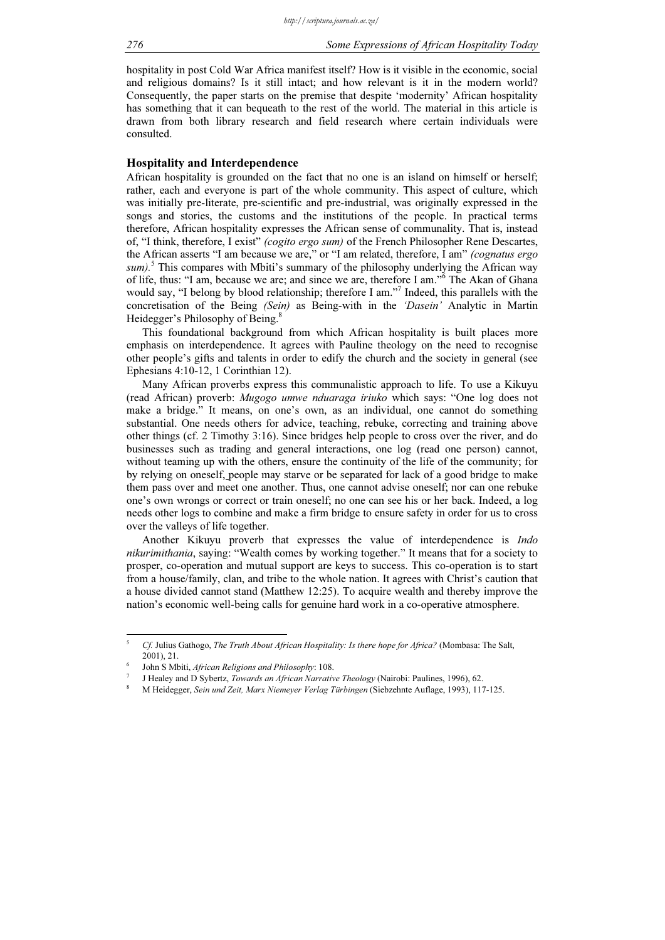hospitality in post Cold War Africa manifest itself? How is it visible in the economic, social and religious domains? Is it still intact; and how relevant is it in the modern world? Consequently, the paper starts on the premise that despite 'modernity' African hospitality has something that it can bequeath to the rest of the world. The material in this article is drawn from both library research and field research where certain individuals were consulted.

# Hospitality and Interdependence

African hospitality is grounded on the fact that no one is an island on himself or herself; rather, each and everyone is part of the whole community. This aspect of culture, which was initially pre-literate, pre-scientific and pre-industrial, was originally expressed in the songs and stories, the customs and the institutions of the people. In practical terms therefore, African hospitality expresses the African sense of communality. That is, instead of, "I think, therefore, I exist" (cogito ergo sum) of the French Philosopher Rene Descartes, the African asserts "I am because we are," or "I am related, therefore, I am" (cognatus ergo  $sum$ ).<sup>5</sup> This compares with Mbiti's summary of the philosophy underlying the African way of life, thus: "I am, because we are; and since we are, therefore I am."<sup>6</sup> The Akan of Ghana would say, "I belong by blood relationship; therefore I am."<sup>7</sup> Indeed, this parallels with the concretisation of the Being (Sein) as Being-with in the 'Dasein' Analytic in Martin Heidegger's Philosophy of Being.<sup>8</sup>

This foundational background from which African hospitality is built places more emphasis on interdependence. It agrees with Pauline theology on the need to recognise other people's gifts and talents in order to edify the church and the society in general (see Ephesians 4:10-12, 1 Corinthian 12).

Many African proverbs express this communalistic approach to life. To use a Kikuyu (read African) proverb: Mugogo umwe nduaraga iriuko which says: "One log does not make a bridge." It means, on one's own, as an individual, one cannot do something substantial. One needs others for advice, teaching, rebuke, correcting and training above other things (cf. 2 Timothy 3:16). Since bridges help people to cross over the river, and do businesses such as trading and general interactions, one log (read one person) cannot, without teaming up with the others, ensure the continuity of the life of the community; for by relying on oneself, people may starve or be separated for lack of a good bridge to make them pass over and meet one another. Thus, one cannot advise oneself; nor can one rebuke one's own wrongs or correct or train oneself; no one can see his or her back. Indeed, a log needs other logs to combine and make a firm bridge to ensure safety in order for us to cross over the valleys of life together.

Another Kikuyu proverb that expresses the value of interdependence is Indo nikurimithania, saying: "Wealth comes by working together." It means that for a society to prosper, co-operation and mutual support are keys to success. This co-operation is to start from a house/family, clan, and tribe to the whole nation. It agrees with Christ's caution that a house divided cannot stand (Matthew 12:25). To acquire wealth and thereby improve the nation's economic well-being calls for genuine hard work in a co-operative atmosphere.

<sup>5</sup> Cf. Julius Gathogo, The Truth About African Hospitality: Is there hope for Africa? (Mombasa: The Salt, 2001), 21. <sup>6</sup>

John S Mbiti, African Religions and Philosophy: 108.

J Healey and D Sybertz, Towards an African Narrative Theology (Nairobi: Paulines, 1996), 62.

M Heidegger, Sein und Zeit, Marx Niemeyer Verlag Türbingen (Siebzehnte Auflage, 1993), 117-125.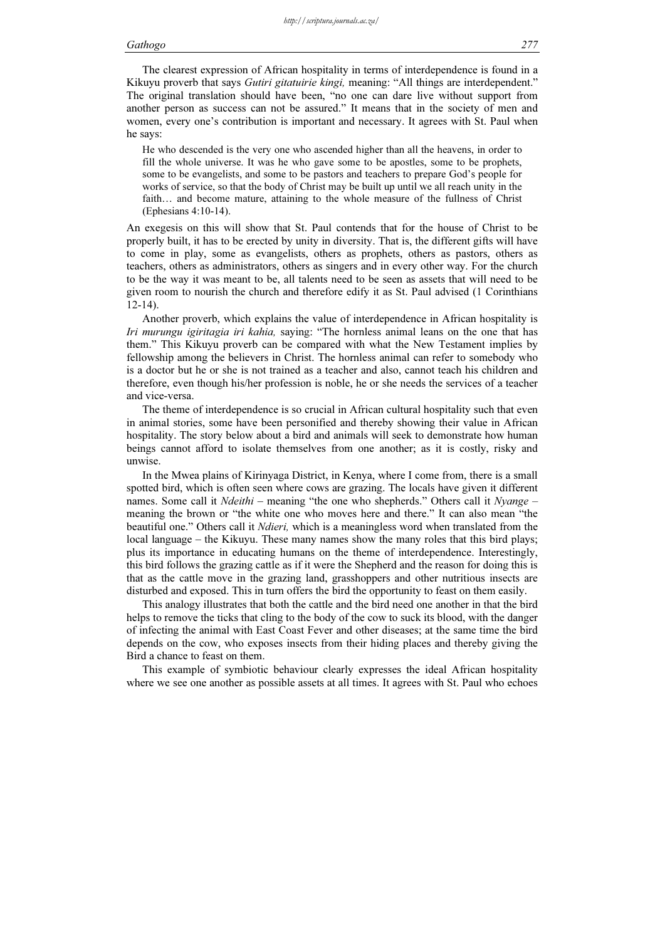The clearest expression of African hospitality in terms of interdependence is found in a Kikuyu proverb that says Gutiri gitatuirie kingi, meaning: "All things are interdependent." The original translation should have been, "no one can dare live without support from another person as success can not be assured." It means that in the society of men and women, every one's contribution is important and necessary. It agrees with St. Paul when he says:

He who descended is the very one who ascended higher than all the heavens, in order to fill the whole universe. It was he who gave some to be apostles, some to be prophets, some to be evangelists, and some to be pastors and teachers to prepare God's people for works of service, so that the body of Christ may be built up until we all reach unity in the faith… and become mature, attaining to the whole measure of the fullness of Christ (Ephesians 4:10-14).

An exegesis on this will show that St. Paul contends that for the house of Christ to be properly built, it has to be erected by unity in diversity. That is, the different gifts will have to come in play, some as evangelists, others as prophets, others as pastors, others as teachers, others as administrators, others as singers and in every other way. For the church to be the way it was meant to be, all talents need to be seen as assets that will need to be given room to nourish the church and therefore edify it as St. Paul advised (1 Corinthians 12-14).

Another proverb, which explains the value of interdependence in African hospitality is Iri murungu igiritagia iri kahia, saying: "The hornless animal leans on the one that has them." This Kikuyu proverb can be compared with what the New Testament implies by fellowship among the believers in Christ. The hornless animal can refer to somebody who is a doctor but he or she is not trained as a teacher and also, cannot teach his children and therefore, even though his/her profession is noble, he or she needs the services of a teacher and vice-versa.

The theme of interdependence is so crucial in African cultural hospitality such that even in animal stories, some have been personified and thereby showing their value in African hospitality. The story below about a bird and animals will seek to demonstrate how human beings cannot afford to isolate themselves from one another; as it is costly, risky and unwise.

In the Mwea plains of Kirinyaga District, in Kenya, where I come from, there is a small spotted bird, which is often seen where cows are grazing. The locals have given it different names. Some call it *Ndeithi* – meaning "the one who shepherds." Others call it *Nyange* – meaning the brown or "the white one who moves here and there." It can also mean "the beautiful one." Others call it Ndieri, which is a meaningless word when translated from the local language – the Kikuyu. These many names show the many roles that this bird plays; plus its importance in educating humans on the theme of interdependence. Interestingly, this bird follows the grazing cattle as if it were the Shepherd and the reason for doing this is that as the cattle move in the grazing land, grasshoppers and other nutritious insects are disturbed and exposed. This in turn offers the bird the opportunity to feast on them easily.

This analogy illustrates that both the cattle and the bird need one another in that the bird helps to remove the ticks that cling to the body of the cow to suck its blood, with the danger of infecting the animal with East Coast Fever and other diseases; at the same time the bird depends on the cow, who exposes insects from their hiding places and thereby giving the Bird a chance to feast on them.

This example of symbiotic behaviour clearly expresses the ideal African hospitality where we see one another as possible assets at all times. It agrees with St. Paul who echoes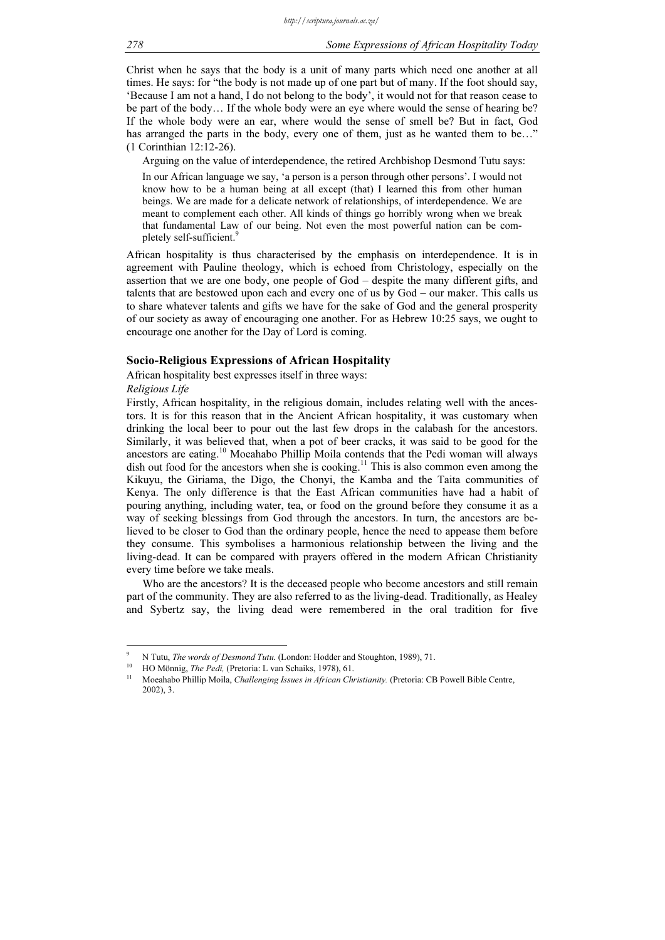Christ when he says that the body is a unit of many parts which need one another at all times. He says: for "the body is not made up of one part but of many. If the foot should say, 'Because I am not a hand, I do not belong to the body', it would not for that reason cease to be part of the body… If the whole body were an eye where would the sense of hearing be? If the whole body were an ear, where would the sense of smell be? But in fact, God has arranged the parts in the body, every one of them, just as he wanted them to be..." (1 Corinthian 12:12-26).

Arguing on the value of interdependence, the retired Archbishop Desmond Tutu says: In our African language we say, 'a person is a person through other persons'. I would not know how to be a human being at all except (that) I learned this from other human beings. We are made for a delicate network of relationships, of interdependence. We are meant to complement each other. All kinds of things go horribly wrong when we break that fundamental Law of our being. Not even the most powerful nation can be completely self-sufficient.

African hospitality is thus characterised by the emphasis on interdependence. It is in agreement with Pauline theology, which is echoed from Christology, especially on the assertion that we are one body, one people of God – despite the many different gifts, and talents that are bestowed upon each and every one of us by God – our maker. This calls us to share whatever talents and gifts we have for the sake of God and the general prosperity of our society as away of encouraging one another. For as Hebrew 10:25 says, we ought to encourage one another for the Day of Lord is coming.

# Socio-Religious Expressions of African Hospitality

African hospitality best expresses itself in three ways:

# Religious Life

Firstly, African hospitality, in the religious domain, includes relating well with the ancestors. It is for this reason that in the Ancient African hospitality, it was customary when drinking the local beer to pour out the last few drops in the calabash for the ancestors. Similarly, it was believed that, when a pot of beer cracks, it was said to be good for the ancestors are eating.<sup>10</sup> Moeahabo Phillip Moila contends that the Pedi woman will always dish out food for the ancestors when she is cooking.<sup>11</sup> This is also common even among the Kikuyu, the Giriama, the Digo, the Chonyi, the Kamba and the Taita communities of Kenya. The only difference is that the East African communities have had a habit of pouring anything, including water, tea, or food on the ground before they consume it as a way of seeking blessings from God through the ancestors. In turn, the ancestors are believed to be closer to God than the ordinary people, hence the need to appease them before they consume. This symbolises a harmonious relationship between the living and the living-dead. It can be compared with prayers offered in the modern African Christianity every time before we take meals.

Who are the ancestors? It is the deceased people who become ancestors and still remain part of the community. They are also referred to as the living-dead. Traditionally, as Healey and Sybertz say, the living dead were remembered in the oral tradition for five

<sup>9</sup> <sup>9</sup> N Tutu, *The words of Desmond Tutu.* (London: Hodder and Stoughton, 1989), 71.<br><sup>10</sup> HO Mönnig, *The Pedi*, (Pretoria: L van Schaiks, 1978), 61.<br><sup>11</sup> Masshsha Phillip Maila *Challanging Jamas in African Christianity* (

Moeahabo Phillip Moila, Challenging Issues in African Christianity. (Pretoria: CB Powell Bible Centre, 2002), 3.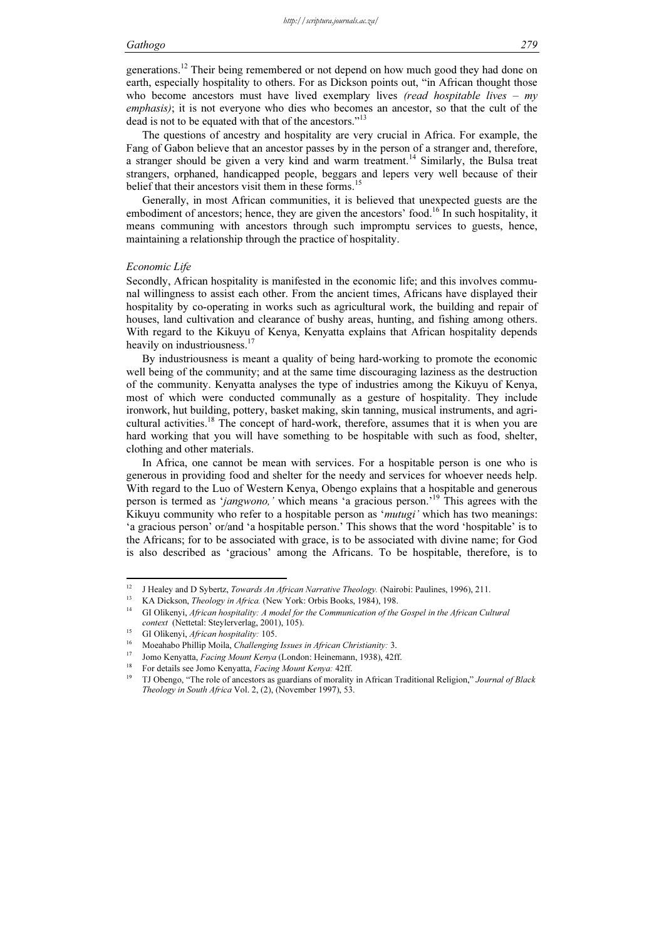generations.<sup>12</sup> Their being remembered or not depend on how much good they had done on earth, especially hospitality to others. For as Dickson points out, "in African thought those who become ancestors must have lived exemplary lives (read hospitable lives –  $my$ emphasis); it is not everyone who dies who becomes an ancestor, so that the cult of the dead is not to be equated with that of the ancestors."<sup>13</sup>

The questions of ancestry and hospitality are very crucial in Africa. For example, the Fang of Gabon believe that an ancestor passes by in the person of a stranger and, therefore, a stranger should be given a very kind and warm treatment.<sup>14</sup> Similarly, the Bulsa treat strangers, orphaned, handicapped people, beggars and lepers very well because of their belief that their ancestors visit them in these forms.<sup>15</sup>

Generally, in most African communities, it is believed that unexpected guests are the embodiment of ancestors; hence, they are given the ancestors' food.<sup>16</sup> In such hospitality, it means communing with ancestors through such impromptu services to guests, hence, maintaining a relationship through the practice of hospitality.

# Economic Life

Secondly, African hospitality is manifested in the economic life; and this involves communal willingness to assist each other. From the ancient times, Africans have displayed their hospitality by co-operating in works such as agricultural work, the building and repair of houses, land cultivation and clearance of bushy areas, hunting, and fishing among others. With regard to the Kikuyu of Kenya, Kenyatta explains that African hospitality depends heavily on industriousness.<sup>17</sup>

By industriousness is meant a quality of being hard-working to promote the economic well being of the community; and at the same time discouraging laziness as the destruction of the community. Kenyatta analyses the type of industries among the Kikuyu of Kenya, most of which were conducted communally as a gesture of hospitality. They include ironwork, hut building, pottery, basket making, skin tanning, musical instruments, and agricultural activities.<sup>18</sup> The concept of hard-work, therefore, assumes that it is when you are hard working that you will have something to be hospitable with such as food, shelter, clothing and other materials.

In Africa, one cannot be mean with services. For a hospitable person is one who is generous in providing food and shelter for the needy and services for whoever needs help. With regard to the Luo of Western Kenya, Obengo explains that a hospitable and generous person is termed as 'jangwono,' which means 'a gracious person.'<sup>19</sup> This agrees with the Kikuyu community who refer to a hospitable person as 'mutugi' which has two meanings: 'a gracious person' or/and 'a hospitable person.' This shows that the word 'hospitable' is to the Africans; for to be associated with grace, is to be associated with divine name; for God is also described as 'gracious' among the Africans. To be hospitable, therefore, is to

 $\overline{12}$ <sup>12</sup> J Healey and D Sybertz, *Towards An African Narrative Theology*. (Nairobi: Paulines, 1996), 211.<br><sup>13</sup> KA Dickson, *Theology in Africa*. (New York: Orbis Books, 1984), 198.<br><sup>14</sup> CLO<sup>11</sup>logy in African hearitedity A mo

GI Olikenyi, African hospitality: A model for the Communication of the Gospel in the African Cultural context (Nettetal: Steylerverlag, 2001), 105).<br>
<sup>15</sup> GI Olikenyi, *African hospitality:* 105.<br>
<sup>16</sup> Moeahabo Phillip Moila, *Challenging Issues in African Christianity:* 3.<br>
<sup>17</sup> Jomo Kenyatta, *Facing Mount Kenya* (London

<sup>19</sup> TJ Obengo, "The role of ancestors as guardians of morality in African Traditional Religion," Journal of Black Theology in South Africa Vol. 2, (2), (November 1997), 53.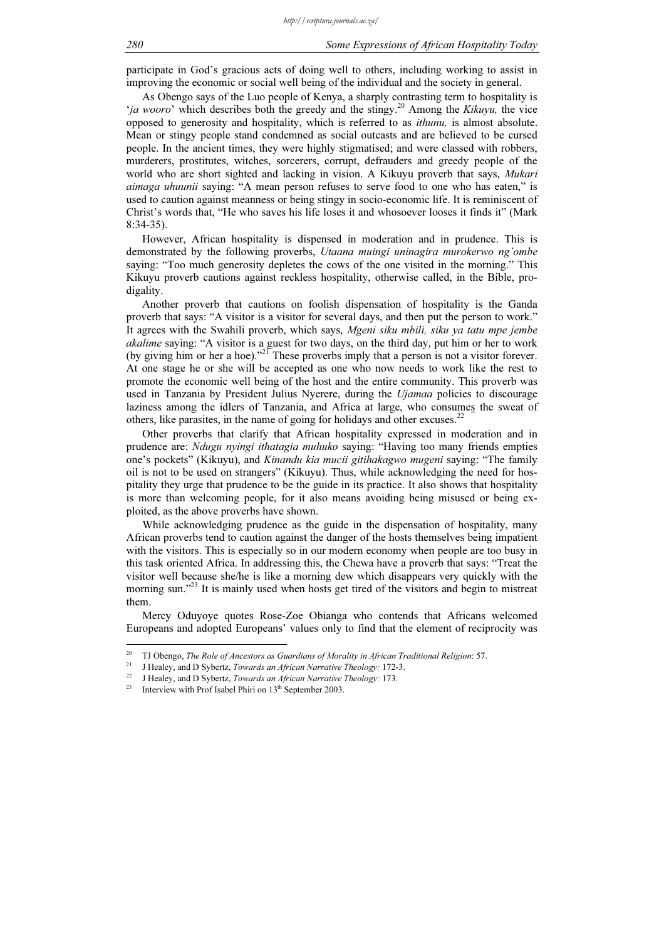participate in God's gracious acts of doing well to others, including working to assist in improving the economic or social well being of the individual and the society in general.

As Obengo says of the Luo people of Kenya, a sharply contrasting term to hospitality is '*ja wooro*' which describes both the greedy and the stingy.<sup>20</sup> Among the *Kikuyu*, the vice opposed to generosity and hospitality, which is referred to as ithunu, is almost absolute. Mean or stingy people stand condemned as social outcasts and are believed to be cursed people. In the ancient times, they were highly stigmatised; and were classed with robbers, murderers, prostitutes, witches, sorcerers, corrupt, defrauders and greedy people of the world who are short sighted and lacking in vision. A Kikuyu proverb that says, *Mukari* aimaga uhuunii saying: "A mean person refuses to serve food to one who has eaten," is used to caution against meanness or being stingy in socio-economic life. It is reminiscent of Christ's words that, "He who saves his life loses it and whosoever looses it finds it" (Mark 8:34-35).

However, African hospitality is dispensed in moderation and in prudence. This is demonstrated by the following proverbs, Utaana muingi uninagira murokerwo ng'ombe saying: "Too much generosity depletes the cows of the one visited in the morning." This Kikuyu proverb cautions against reckless hospitality, otherwise called, in the Bible, prodigality.

Another proverb that cautions on foolish dispensation of hospitality is the Ganda proverb that says: "A visitor is a visitor for several days, and then put the person to work." It agrees with the Swahili proverb, which says, Mgeni siku mbili, siku ya tatu mpe jembe akalime saying: "A visitor is a guest for two days, on the third day, put him or her to work (by giving him or her a hoe)."<sup>21</sup> These proverbs imply that a person is not a visitor forever. At one stage he or she will be accepted as one who now needs to work like the rest to promote the economic well being of the host and the entire community. This proverb was used in Tanzania by President Julius Nyerere, during the *Ujamaa* policies to discourage laziness among the idlers of Tanzania, and Africa at large, who consumes the sweat of others, like parasites, in the name of going for holidays and other excuses. $22$ 

Other proverbs that clarify that African hospitality expressed in moderation and in prudence are: Ndugu nyingi ithatagia muhuko saying: "Having too many friends empties one's pockets" (Kikuyu), and Kinandu kia mucii gitihakagwo mugeni saying: "The family oil is not to be used on strangers" (Kikuyu). Thus, while acknowledging the need for hospitality they urge that prudence to be the guide in its practice. It also shows that hospitality is more than welcoming people, for it also means avoiding being misused or being exploited, as the above proverbs have shown.

While acknowledging prudence as the guide in the dispensation of hospitality, many African proverbs tend to caution against the danger of the hosts themselves being impatient with the visitors. This is especially so in our modern economy when people are too busy in this task oriented Africa. In addressing this, the Chewa have a proverb that says: "Treat the visitor well because she/he is like a morning dew which disappears very quickly with the morning sun."<sup>23</sup> It is mainly used when hosts get tired of the visitors and begin to mistreat them.

Mercy Oduyoye quotes Rose-Zoe Obianga who contends that Africans welcomed Europeans and adopted Europeans' values only to find that the element of reciprocity was

 $20^{\circ}$ <sup>20</sup> TJ Obengo, *The Role of Ancestors as Guardians of Morality in African Traditional Religion*: 57.<br><sup>21</sup> J Healey, and D Sybertz, *Towards an African Narrative Theology*: 172-3.<br><sup>22</sup> J Healey, and D Sybertz, *Towards an*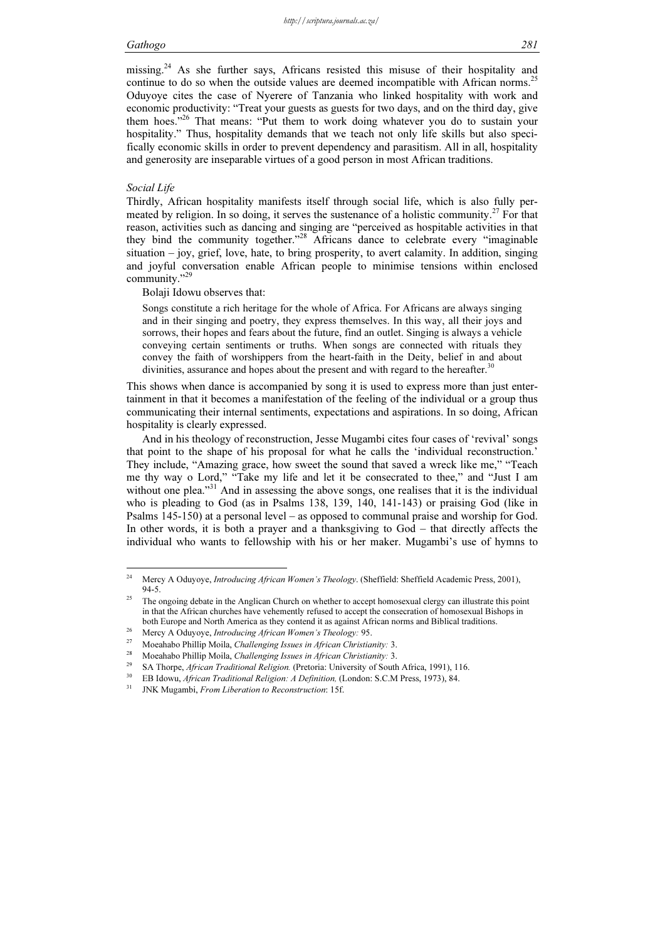economic productivity: "Treat your guests as guests for two days, and on the third day, give them hoes."<sup>26</sup> That means: "Put them to work doing whatever you do to sustain your hospitality." Thus, hospitality demands that we teach not only life skills but also specifically economic skills in order to prevent dependency and parasitism. All in all, hospitality and generosity are inseparable virtues of a good person in most African traditions.

# Social Life

Thirdly, African hospitality manifests itself through social life, which is also fully permeated by religion. In so doing, it serves the sustenance of a holistic community.<sup>27</sup> For that reason, activities such as dancing and singing are "perceived as hospitable activities in that they bind the community together."<sup>28</sup> Africans dance to celebrate every "imaginable situation – joy, grief, love, hate, to bring prosperity, to avert calamity. In addition, singing and joyful conversation enable African people to minimise tensions within enclosed community."<sup>29</sup>

Bolaji Idowu observes that:

Songs constitute a rich heritage for the whole of Africa. For Africans are always singing and in their singing and poetry, they express themselves. In this way, all their joys and sorrows, their hopes and fears about the future, find an outlet. Singing is always a vehicle conveying certain sentiments or truths. When songs are connected with rituals they convey the faith of worshippers from the heart-faith in the Deity, belief in and about divinities, assurance and hopes about the present and with regard to the hereafter.

This shows when dance is accompanied by song it is used to express more than just entertainment in that it becomes a manifestation of the feeling of the individual or a group thus communicating their internal sentiments, expectations and aspirations. In so doing, African hospitality is clearly expressed.

And in his theology of reconstruction, Jesse Mugambi cites four cases of 'revival' songs that point to the shape of his proposal for what he calls the 'individual reconstruction.' They include, "Amazing grace, how sweet the sound that saved a wreck like me," "Teach me thy way o Lord," "Take my life and let it be consecrated to thee," and "Just I am without one plea."<sup>31</sup> And in assessing the above songs, one realises that it is the individual who is pleading to God (as in Psalms 138, 139, 140, 141-143) or praising God (like in Psalms 145-150) at a personal level – as opposed to communal praise and worship for God. In other words, it is both a prayer and a thanksgiving to God – that directly affects the individual who wants to fellowship with his or her maker. Mugambi's use of hymns to

<sup>24</sup> Mercy A Oduyoye, *Introducing African Women's Theology*. (Sheffield: Sheffield Academic Press, 2001), 94-5.

<sup>&</sup>lt;sup>25</sup> The ongoing debate in the Anglican Church on whether to accept homosexual clergy can illustrate this point in that the African churches have vehemently refused to accept the consecration of homosexual Bishops in both Europe and North America as they contend it as against African norms and Biblical traditions.<br>
<sup>26</sup> Mercy A Oduyoye, *Introducing African Women's Theology*: 95.<br>
<sup>27</sup> Moeahabo Phillip Moila, *Challenging Issues in Afr*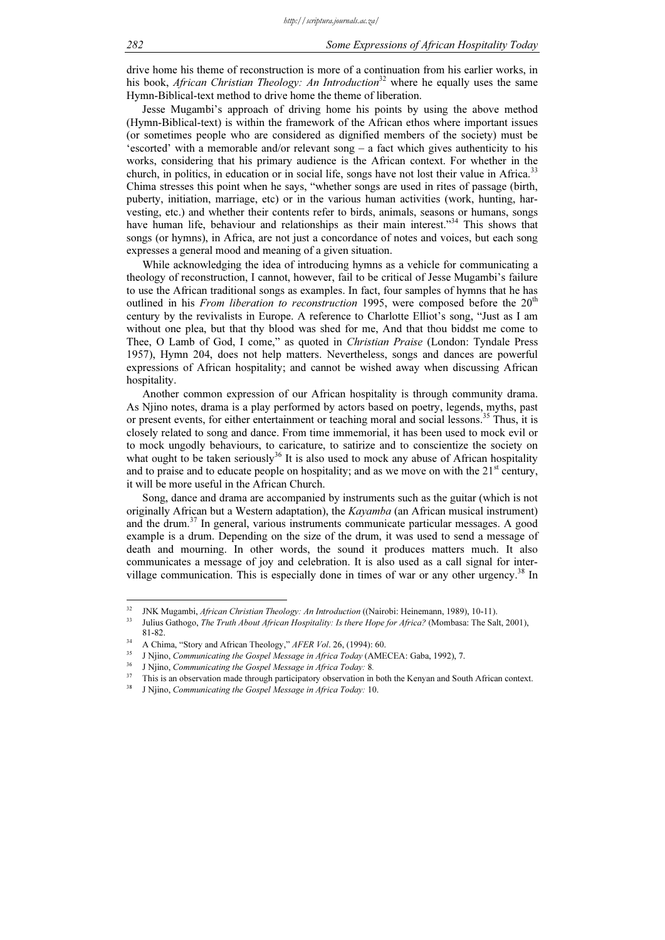drive home his theme of reconstruction is more of a continuation from his earlier works, in his book, African Christian Theology: An Introduction<sup>32</sup> where he equally uses the same Hymn-Biblical-text method to drive home the theme of liberation.

Jesse Mugambi's approach of driving home his points by using the above method (Hymn-Biblical-text) is within the framework of the African ethos where important issues (or sometimes people who are considered as dignified members of the society) must be 'escorted' with a memorable and/or relevant song – a fact which gives authenticity to his works, considering that his primary audience is the African context. For whether in the church, in politics, in education or in social life, songs have not lost their value in Africa.<sup>33</sup> Chima stresses this point when he says, "whether songs are used in rites of passage (birth, puberty, initiation, marriage, etc) or in the various human activities (work, hunting, harvesting, etc.) and whether their contents refer to birds, animals, seasons or humans, songs have human life, behaviour and relationships as their main interest.<sup>34</sup> This shows that songs (or hymns), in Africa, are not just a concordance of notes and voices, but each song expresses a general mood and meaning of a given situation.

While acknowledging the idea of introducing hymns as a vehicle for communicating a theology of reconstruction, I cannot, however, fail to be critical of Jesse Mugambi's failure to use the African traditional songs as examples. In fact, four samples of hymns that he has outlined in his *From liberation to reconstruction* 1995, were composed before the  $20<sup>th</sup>$ century by the revivalists in Europe. A reference to Charlotte Elliot's song, "Just as I am without one plea, but that thy blood was shed for me, And that thou biddst me come to Thee, O Lamb of God, I come," as quoted in Christian Praise (London: Tyndale Press 1957), Hymn 204, does not help matters. Nevertheless, songs and dances are powerful expressions of African hospitality; and cannot be wished away when discussing African hospitality.

Another common expression of our African hospitality is through community drama. As Njino notes, drama is a play performed by actors based on poetry, legends, myths, past or present events, for either entertainment or teaching moral and social lessons.<sup>35</sup> Thus, it is closely related to song and dance. From time immemorial, it has been used to mock evil or to mock ungodly behaviours, to caricature, to satirize and to conscientize the society on what ought to be taken seriously<sup>36</sup> It is also used to mock any abuse of African hospitality and to praise and to educate people on hospitality; and as we move on with the  $21<sup>st</sup>$  century, it will be more useful in the African Church.

Song, dance and drama are accompanied by instruments such as the guitar (which is not originally African but a Western adaptation), the *Kayamba* (an African musical instrument) and the drum.<sup>37</sup> In general, various instruments communicate particular messages. A good example is a drum. Depending on the size of the drum, it was used to send a message of death and mourning. In other words, the sound it produces matters much. It also communicates a message of joy and celebration. It is also used as a call signal for intervillage communication. This is especially done in times of war or any other urgency.<sup>38</sup> In

 $32^{\circ}$ <sup>32</sup> JNK Mugambi, *African Christian Theology: An Introduction* ((Nairobi: Heinemann, 1989), 10-11).<br><sup>33</sup> Julius Cathoga, *The Turth About African Hespitality Is these Hans for Africa*? (Mombase: The Sal

<sup>33</sup> Julius Gathogo, The Truth About African Hospitality: Is there Hope for Africa? (Mombasa: The Salt, 2001),

<sup>81-82.&</sup>lt;br>
A Chima, "Story and African Theology," *AFER Vol.* 26, (1994): 60.<br>
<sup>35</sup> J Njino, *Communicating the Gospel Message in Africa Today* (AMECEA: Gaba, 1992), 7.<br>
<sup>36</sup> J Njino, *Communicating the Gospel Message in Afri* 

<sup>38</sup> J Njino, Communicating the Gospel Message in Africa Today: 10.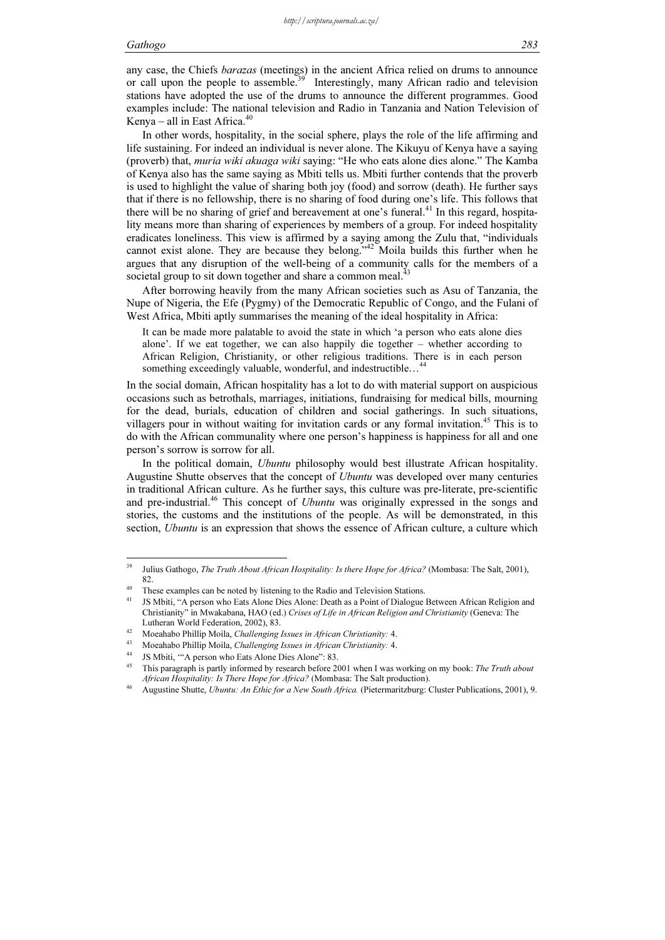any case, the Chiefs barazas (meetings) in the ancient Africa relied on drums to announce or call upon the people to assemble.<sup>39</sup> Interestingly, many African radio and television stations have adopted the use of the drums to announce the different programmes. Good examples include: The national television and Radio in Tanzania and Nation Television of Kenya – all in East Africa. $40$ 

In other words, hospitality, in the social sphere, plays the role of the life affirming and life sustaining. For indeed an individual is never alone. The Kikuyu of Kenya have a saying (proverb) that, muria wiki akuaga wiki saying: "He who eats alone dies alone." The Kamba of Kenya also has the same saying as Mbiti tells us. Mbiti further contends that the proverb is used to highlight the value of sharing both joy (food) and sorrow (death). He further says that if there is no fellowship, there is no sharing of food during one's life. This follows that there will be no sharing of grief and bereavement at one's funeral.<sup>41</sup> In this regard, hospitality means more than sharing of experiences by members of a group. For indeed hospitality eradicates loneliness. This view is affirmed by a saying among the Zulu that, "individuals cannot exist alone. They are because they belong."<sup>42</sup> Moila builds this further when he argues that any disruption of the well-being of a community calls for the members of a societal group to sit down together and share a common meal.<sup>43</sup>

After borrowing heavily from the many African societies such as Asu of Tanzania, the Nupe of Nigeria, the Efe (Pygmy) of the Democratic Republic of Congo, and the Fulani of West Africa, Mbiti aptly summarises the meaning of the ideal hospitality in Africa:

It can be made more palatable to avoid the state in which 'a person who eats alone dies alone'. If we eat together, we can also happily die together – whether according to African Religion, Christianity, or other religious traditions. There is in each person something exceedingly valuable, wonderful, and indestructible...

In the social domain, African hospitality has a lot to do with material support on auspicious occasions such as betrothals, marriages, initiations, fundraising for medical bills, mourning for the dead, burials, education of children and social gatherings. In such situations, villagers pour in without waiting for invitation cards or any formal invitation.<sup>45</sup> This is to do with the African communality where one person's happiness is happiness for all and one person's sorrow is sorrow for all.

In the political domain, Ubuntu philosophy would best illustrate African hospitality. Augustine Shutte observes that the concept of Ubuntu was developed over many centuries in traditional African culture. As he further says, this culture was pre-literate, pre-scientific and pre-industrial.<sup>46</sup> This concept of *Ubuntu* was originally expressed in the songs and stories, the customs and the institutions of the people. As will be demonstrated, in this section, *Ubuntu* is an expression that shows the essence of African culture, a culture which

 $39$ Julius Gathogo, *The Truth About African Hospitality: Is there Hope for Africa?* (Mombasa: The Salt, 2001), 82.

<sup>&</sup>lt;sup>40</sup> These examples can be noted by listening to the Radio and Television Stations.

<sup>41</sup> JS Mbiti, "A person who Eats Alone Dies Alone: Death as a Point of Dialogue Between African Religion and Christianity" in Mwakabana, HAO (ed.) Crises of Life in African Religion and Christianity (Geneva: The

Lutheran World Federation, 2002), 83.<br>
<sup>42</sup> Moeahabo Phillip Moila, *Challenging Issues in African Christianity*: 4.<br>
<sup>43</sup> Moeahabo Phillip Moila, *Challenging Issues in African Christianity*: 4.<br>
<sup>44</sup> IS Mbiti, "'A person

This paragraph is partly informed by research before 2001 when I was working on my book: The Truth about African Hospitality: Is There Hope for Africa? (Mombasa: The Salt production).<br>Augustine Shutte, Ubuntu: An Ethic for a New South Africa. (Pietermaritzburg: Cluster Publications, 2001), 9.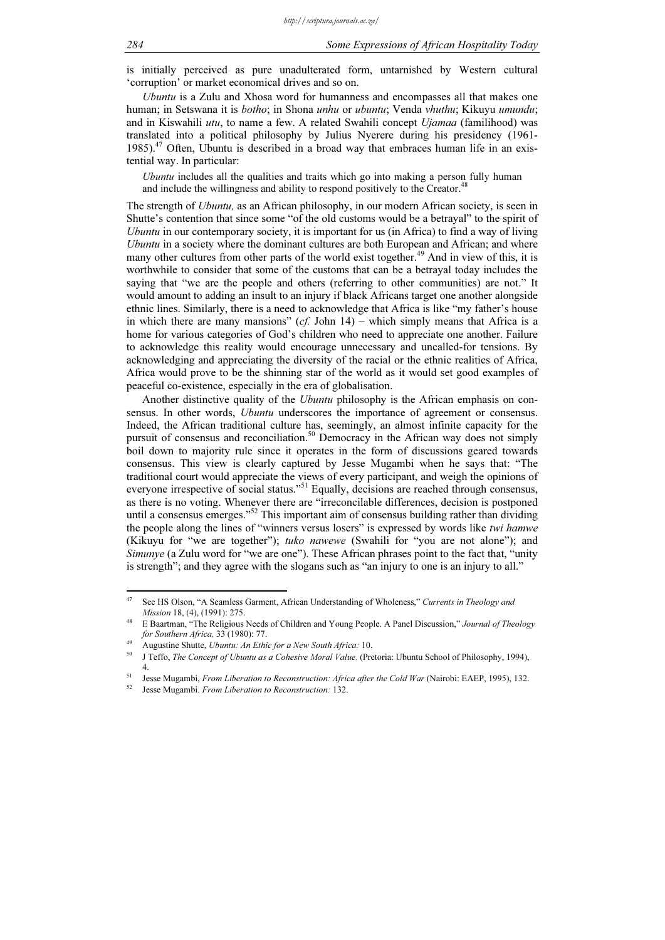is initially perceived as pure unadulterated form, untarnished by Western cultural 'corruption' or market economical drives and so on.

Ubuntu is a Zulu and Xhosa word for humanness and encompasses all that makes one human; in Setswana it is *botho*; in Shona *unhu* or *ubuntu*; Venda *vhuthu*; Kikuyu *umundu*; and in Kiswahili utu, to name a few. A related Swahili concept  $Ujamaa$  (familihood) was translated into a political philosophy by Julius Nyerere during his presidency (1961- 1985). $^{47}$  Often, Ubuntu is described in a broad way that embraces human life in an existential way. In particular:

Ubuntu includes all the qualities and traits which go into making a person fully human and include the willingness and ability to respond positively to the Creator.<sup>48</sup>

The strength of Ubuntu, as an African philosophy, in our modern African society, is seen in Shutte's contention that since some "of the old customs would be a betrayal" to the spirit of Ubuntu in our contemporary society, it is important for us (in Africa) to find a way of living Ubuntu in a society where the dominant cultures are both European and African; and where many other cultures from other parts of the world exist together.<sup>49</sup> And in view of this, it is worthwhile to consider that some of the customs that can be a betrayal today includes the saying that "we are the people and others (referring to other communities) are not." It would amount to adding an insult to an injury if black Africans target one another alongside ethnic lines. Similarly, there is a need to acknowledge that Africa is like "my father's house in which there are many mansions"  $(cf.$  John 14) – which simply means that Africa is a home for various categories of God's children who need to appreciate one another. Failure to acknowledge this reality would encourage unnecessary and uncalled-for tensions. By acknowledging and appreciating the diversity of the racial or the ethnic realities of Africa, Africa would prove to be the shinning star of the world as it would set good examples of peaceful co-existence, especially in the era of globalisation.

Another distinctive quality of the *Ubuntu* philosophy is the African emphasis on consensus. In other words, *Ubuntu* underscores the importance of agreement or consensus. Indeed, the African traditional culture has, seemingly, an almost infinite capacity for the pursuit of consensus and reconciliation.<sup>50</sup> Democracy in the African way does not simply boil down to majority rule since it operates in the form of discussions geared towards consensus. This view is clearly captured by Jesse Mugambi when he says that: "The traditional court would appreciate the views of every participant, and weigh the opinions of everyone irrespective of social status."<sup>51</sup> Equally, decisions are reached through consensus, as there is no voting. Whenever there are "irreconcilable differences, decision is postponed until a consensus emerges." $52$  This important aim of consensus building rather than dividing the people along the lines of "winners versus losers" is expressed by words like *twi hamwe* (Kikuyu for "we are together"); tuko nawewe (Swahili for "you are not alone"); and Simunye (a Zulu word for "we are one"). These African phrases point to the fact that, "unity is strength"; and they agree with the slogans such as "an injury to one is an injury to all."

 $\overline{47}$ See HS Olson, "A Seamless Garment, African Understanding of Wholeness," Currents in Theology and Mission 18, (4), (1991): 275.

<sup>&</sup>lt;sup>48</sup> E Baartman, "The Religious Needs of Children and Young People. A Panel Discussion," Journal of Theology for Southern Africa, 33 (1980): 77.<br><sup>49</sup> Augustine Shutte, Ubuntu: An Ethic for a New South Africa: 10.<br><sup>50</sup> A.T. ffs. *The Consent of Ubustiness a Cohenius March Value*. (Pr

<sup>50</sup> J Teffo, The Concept of Ubuntu as a Cohesive Moral Value. (Pretoria: Ubuntu School of Philosophy, 1994), 4. 51 Jesse Mugambi, *From Liberation to Reconstruction: Africa after the Cold War* (Nairobi: EAEP, 1995), 132. Jesse Mugambi. *From Liberation to Reconstruction:* 132.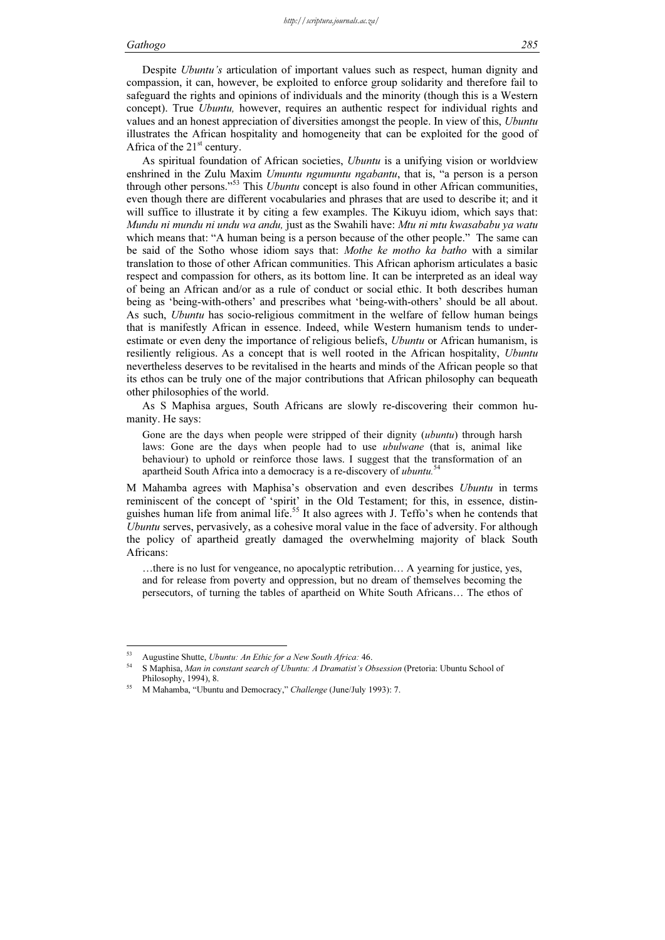Despite Ubuntu's articulation of important values such as respect, human dignity and compassion, it can, however, be exploited to enforce group solidarity and therefore fail to safeguard the rights and opinions of individuals and the minority (though this is a Western concept). True *Ubuntu*, however, requires an authentic respect for individual rights and values and an honest appreciation of diversities amongst the people. In view of this, Ubuntu illustrates the African hospitality and homogeneity that can be exploited for the good of Africa of the  $21<sup>st</sup>$  century.

As spiritual foundation of African societies, *Ubuntu* is a unifying vision or worldview enshrined in the Zulu Maxim Umuntu ngumuntu ngabantu, that is, "a person is a person through other persons."<sup>53</sup> This *Ubuntu* concept is also found in other African communities, even though there are different vocabularies and phrases that are used to describe it; and it will suffice to illustrate it by citing a few examples. The Kikuyu idiom, which says that: Mundu ni mundu ni undu wa andu, just as the Swahili have: Mtu ni mtu kwasababu ya watu which means that: "A human being is a person because of the other people." The same can be said of the Sotho whose idiom says that: Mothe ke motho ka batho with a similar translation to those of other African communities. This African aphorism articulates a basic respect and compassion for others, as its bottom line. It can be interpreted as an ideal way of being an African and/or as a rule of conduct or social ethic. It both describes human being as 'being-with-others' and prescribes what 'being-with-others' should be all about. As such, Ubuntu has socio-religious commitment in the welfare of fellow human beings that is manifestly African in essence. Indeed, while Western humanism tends to underestimate or even deny the importance of religious beliefs, *Ubuntu* or African humanism, is resiliently religious. As a concept that is well rooted in the African hospitality, Ubuntu nevertheless deserves to be revitalised in the hearts and minds of the African people so that its ethos can be truly one of the major contributions that African philosophy can bequeath other philosophies of the world.

As S Maphisa argues, South Africans are slowly re-discovering their common humanity. He says:

Gone are the days when people were stripped of their dignity *(ubuntu)* through harsh laws: Gone are the days when people had to use ubulwane (that is, animal like behaviour) to uphold or reinforce those laws. I suggest that the transformation of an apartheid South Africa into a democracy is a re-discovery of ubuntu.<sup>54</sup>

M Mahamba agrees with Maphisa's observation and even describes Ubuntu in terms reminiscent of the concept of 'spirit' in the Old Testament; for this, in essence, distinguishes human life from animal life.<sup>55</sup> It also agrees with J. Teffo's when he contends that Ubuntu serves, pervasively, as a cohesive moral value in the face of adversity. For although the policy of apartheid greatly damaged the overwhelming majority of black South Africans:

…there is no lust for vengeance, no apocalyptic retribution… A yearning for justice, yes, and for release from poverty and oppression, but no dream of themselves becoming the persecutors, of turning the tables of apartheid on White South Africans… The ethos of

<sup>&</sup>lt;sup>53</sup> Augustine Shutte, *Ubuntu: An Ethic for a New South Africa:* 46.

S Maphisa, Man in constant search of Ubuntu: A Dramatist's Obsession (Pretoria: Ubuntu School of Philosophy, 1994), 8.<br><sup>55</sup> M Mahamba, "Ubuntu and Democracy," *Challenge* (June/July 1993): 7.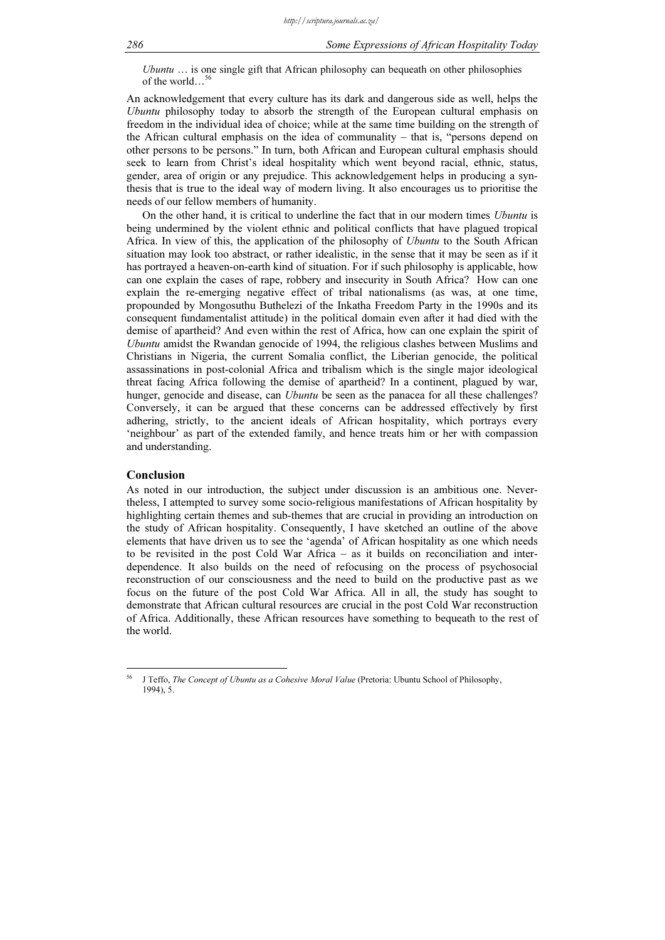Ubuntu  $\ldots$  is one single gift that African philosophy can bequeath on other philosophies of the world…<sup>56</sup>

An acknowledgement that every culture has its dark and dangerous side as well, helps the Ubuntu philosophy today to absorb the strength of the European cultural emphasis on freedom in the individual idea of choice; while at the same time building on the strength of the African cultural emphasis on the idea of communality – that is, "persons depend on other persons to be persons." In turn, both African and European cultural emphasis should seek to learn from Christ's ideal hospitality which went beyond racial, ethnic, status, gender, area of origin or any prejudice. This acknowledgement helps in producing a synthesis that is true to the ideal way of modern living. It also encourages us to prioritise the needs of our fellow members of humanity.

On the other hand, it is critical to underline the fact that in our modern times Ubuntu is being undermined by the violent ethnic and political conflicts that have plagued tropical Africa. In view of this, the application of the philosophy of Ubuntu to the South African situation may look too abstract, or rather idealistic, in the sense that it may be seen as if it has portrayed a heaven-on-earth kind of situation. For if such philosophy is applicable, how can one explain the cases of rape, robbery and insecurity in South Africa? How can one explain the re-emerging negative effect of tribal nationalisms (as was, at one time, propounded by Mongosuthu Buthelezi of the Inkatha Freedom Party in the 1990s and its consequent fundamentalist attitude) in the political domain even after it had died with the demise of apartheid? And even within the rest of Africa, how can one explain the spirit of Ubuntu amidst the Rwandan genocide of 1994, the religious clashes between Muslims and Christians in Nigeria, the current Somalia conflict, the Liberian genocide, the political assassinations in post-colonial Africa and tribalism which is the single major ideological threat facing Africa following the demise of apartheid? In a continent, plagued by war, hunger, genocide and disease, can *Ubuntu* be seen as the panacea for all these challenges? Conversely, it can be argued that these concerns can be addressed effectively by first adhering, strictly, to the ancient ideals of African hospitality, which portrays every 'neighbour' as part of the extended family, and hence treats him or her with compassion and understanding.

# Conclusion

As noted in our introduction, the subject under discussion is an ambitious one. Nevertheless, I attempted to survey some socio-religious manifestations of African hospitality by highlighting certain themes and sub-themes that are crucial in providing an introduction on the study of African hospitality. Consequently, I have sketched an outline of the above elements that have driven us to see the 'agenda' of African hospitality as one which needs to be revisited in the post Cold War Africa – as it builds on reconciliation and interdependence. It also builds on the need of refocusing on the process of psychosocial reconstruction of our consciousness and the need to build on the productive past as we focus on the future of the post Cold War Africa. All in all, the study has sought to demonstrate that African cultural resources are crucial in the post Cold War reconstruction of Africa. Additionally, these African resources have something to bequeath to the rest of the world.

<sup>56</sup> J Teffo, The Concept of Ubuntu as a Cohesive Moral Value (Pretoria: Ubuntu School of Philosophy, 1994), 5.